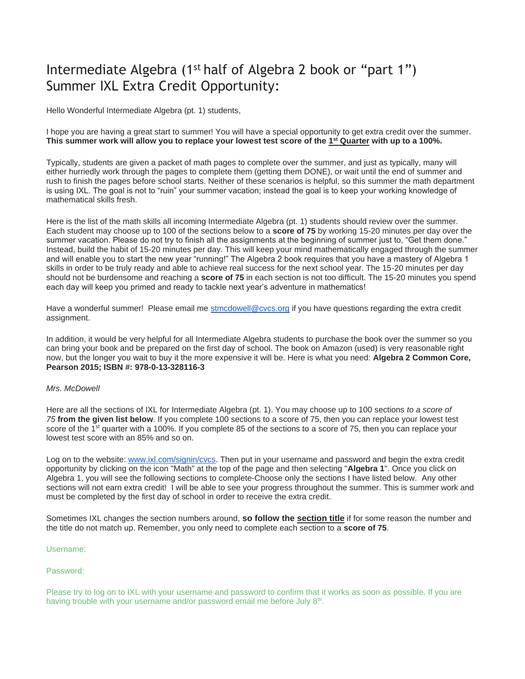# Intermediate Algebra (1st half of Algebra 2 book or "part 1") Summer IXL Extra Credit Opportunity:

Hello Wonderful Intermediate Algebra (pt. 1) students,

I hope you are having a great start to summer! You will have a special opportunity to get extra credit over the summer. **This summer work will allow you to replace your lowest test score of the 1 st Quarter with up to a 100%.**

Typically, students are given a packet of math pages to complete over the summer, and just as typically, many will either hurriedly work through the pages to complete them (getting them DONE), or wait until the end of summer and rush to finish the pages before school starts. Neither of these scenarios is helpful, so this summer the math department is using IXL. The goal is not to "ruin" your summer vacation; instead the goal is to keep your working knowledge of mathematical skills fresh.

Here is the list of the math skills all incoming Intermediate Algebra (pt. 1) students should review over the summer. Each student may choose up to 100 of the sections below to a **score of 75** by working 15-20 minutes per day over the summer vacation. Please do not try to finish all the assignments at the beginning of summer just to, "Get them done." Instead, build the habit of 15-20 minutes per day. This will keep your mind mathematically engaged through the summer and will enable you to start the new year "running!" The Algebra 2 book requires that you have a mastery of Algebra 1 skills in order to be truly ready and able to achieve real success for the next school year. The 15-20 minutes per day should not be burdensome and reaching a **score of 75** in each section is not too difficult. The 15-20 minutes you spend each day will keep you primed and ready to tackle next year's adventure in mathematics!

Have a wonderful summer! Please email me [stmcdowell@cvcs.org](mailto:stmcdowell@cvcs.org) if you have questions regarding the extra credit assignment.

In addition, it would be very helpful for all Intermediate Algebra students to purchase the book over the summer so you can bring your book and be prepared on the first day of school. The book on Amazon (used) is very reasonable right now, but the longer you wait to buy it the more expensive it will be. Here is what you need: **Algebra 2 Common Core, Pearson 2015; ISBN #: 978-0-13-328116-3**

#### *Mrs. McDowell*

Here are all the sections of IXL for Intermediate Algebra (pt. 1). You may choose up to 100 sections *to a score of 75* **from the given list below**. If you complete 100 sections to a score of 75, then you can replace your lowest test score of the 1<sup>st</sup> quarter with a 100%. If you complete 85 of the sections to a score of 75, then you can replace your lowest test score with an 85% and so on.

Log on to the website: [www.ixl.com/signin/cvcs.](http://www.ixl.com/signin/cvcs) Then put in your username and password and begin the extra credit opportunity by clicking on the icon "Math" at the top of the page and then selecting "**Algebra 1**". Once you click on Algebra 1, you will see the following sections to complete-Choose only the sections I have listed below. Any other sections will not earn extra credit! I will be able to see your progress throughout the summer. This is summer work and must be completed by the first day of school in order to receive the extra credit.

Sometimes IXL changes the section numbers around, **so follow the section title** if for some reason the number and the title do not match up. Remember, you only need to complete each section to a **score of 75**.

#### Username:

#### Password:

Please try to log on to IXL with your username and password to confirm that it works as soon as possible. If you are having trouble with your username and/or password email me before July 8<sup>th</sup>.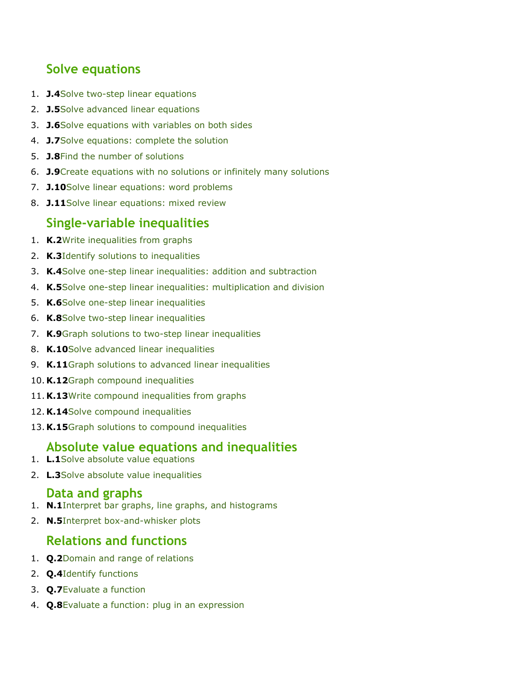# **Solve equations**

- 1. **J.4**[Solve two-step linear equations](https://www.ixl.com/math/algebra-1/solve-two-step-linear-equations)
- 2. **J.5**[Solve advanced linear equations](https://www.ixl.com/math/algebra-1/solve-advanced-linear-equations)
- 3. **J.6**[Solve equations with variables on both sides](https://www.ixl.com/math/algebra-1/solve-equations-with-variables-on-both-sides)
- 4. **J.7**[Solve equations: complete the solution](https://www.ixl.com/math/algebra-1/solve-equations-complete-the-solution)
- 5. **J.8**[Find the number of solutions](https://www.ixl.com/math/algebra-1/find-the-number-of-solutions)
- 6. **J.9**[Create equations with no solutions or infinitely many solutions](https://www.ixl.com/math/algebra-1/create-equations-with-no-solutions-or-infinitely-many-solutions)
- 7. **J.10**[Solve linear equations: word problems](https://www.ixl.com/math/algebra-1/solve-linear-equations-word-problems)
- 8. **J.11**[Solve linear equations: mixed review](https://www.ixl.com/math/algebra-1/solve-linear-equations-mixed-review)

## **Single-variable inequalities**

- 1. **K.2**[Write inequalities from graphs](https://www.ixl.com/math/algebra-1/write-inequalities-from-graphs)
- 2. **K.3**[Identify solutions to inequalities](https://www.ixl.com/math/algebra-1/identify-solutions-to-inequalities)
- 3. **K.4**[Solve one-step linear inequalities: addition and subtraction](https://www.ixl.com/math/algebra-1/solve-one-step-linear-inequalities-addition-and-subtraction)
- 4. **K.5**[Solve one-step linear inequalities: multiplication and division](https://www.ixl.com/math/algebra-1/solve-one-step-linear-inequalities-multiplication-and-division)
- 5. **K.6**[Solve one-step linear inequalities](https://www.ixl.com/math/algebra-1/solve-one-step-linear-inequalities)
- 6. **K.8**[Solve two-step linear inequalities](https://www.ixl.com/math/algebra-1/solve-two-step-linear-inequalities)
- 7. **K.9**[Graph solutions to two-step linear inequalities](https://www.ixl.com/math/algebra-1/graph-solutions-to-two-step-linear-inequalities)
- 8. **K.10**[Solve advanced linear inequalities](https://www.ixl.com/math/algebra-1/solve-advanced-linear-inequalities)
- 9. **K.11**[Graph solutions to advanced linear inequalities](https://www.ixl.com/math/algebra-1/graph-solutions-to-advanced-linear-inequalities)
- 10. **K.12**[Graph compound inequalities](https://www.ixl.com/math/algebra-1/graph-compound-inequalities)
- 11. **K.13**[Write compound inequalities from graphs](https://www.ixl.com/math/algebra-1/write-compound-inequalities-from-graphs)
- 12. **K.14**[Solve compound inequalities](https://www.ixl.com/math/algebra-1/solve-compound-inequalities)
- 13. **K.15**[Graph solutions to compound inequalities](https://www.ixl.com/math/algebra-1/graph-solutions-to-compound-inequalities)

# **Absolute value equations and inequalities**

- 1. **L.1**[Solve absolute value equations](https://www.ixl.com/math/algebra-1/solve-absolute-value-equations)
- 2. **L.3**[Solve absolute value inequalities](https://www.ixl.com/math/algebra-1/solve-absolute-value-inequalities)

## **Data and graphs**

- 1. **N.1**[Interpret bar graphs, line graphs, and histograms](https://www.ixl.com/math/algebra-1/interpret-bar-graphs-line-graphs-and-histograms)
- 2. **N.5**[Interpret box-and-whisker plots](https://www.ixl.com/math/algebra-1/interpret-box-and-whisker-plots)

# **Relations and functions**

- 1. **Q.2**[Domain and range of relations](https://www.ixl.com/math/algebra-1/domain-and-range-of-relations)
- 2. **Q.4**[Identify functions](https://www.ixl.com/math/algebra-1/identify-functions)
- 3. **Q.7**[Evaluate a function](https://www.ixl.com/math/algebra-1/evaluate-a-function)
- 4. **Q.8**[Evaluate a function: plug in an expression](https://www.ixl.com/math/algebra-1/evaluate-a-function-plug-in-an-expression)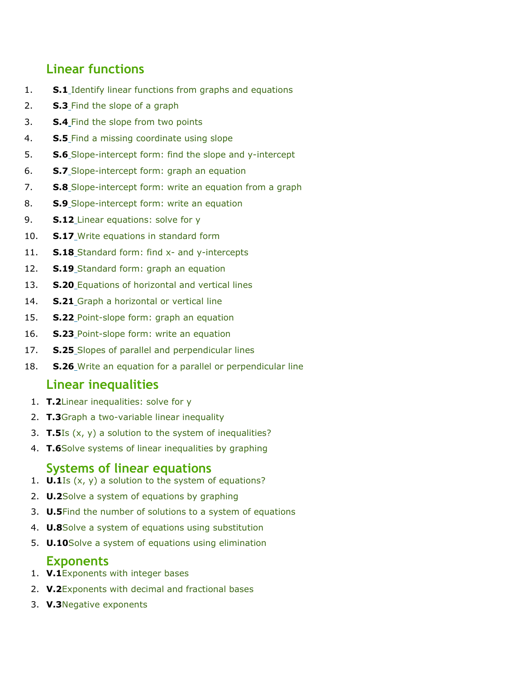# **Linear functions**

- 1. **S.1** [Identify linear functions from graphs and equations](https://www.ixl.com/math/algebra-1/identify-linear-functions-from-graphs-and-equations)
- 2. **S.3** [Find the slope of a graph](https://www.ixl.com/math/algebra-1/find-the-slope-of-a-graph)
- 3. **S.4** [Find the slope from two points](https://www.ixl.com/math/algebra-1/find-the-slope-from-two-points)
- 4. **S.5** [Find a missing coordinate using slope](https://www.ixl.com/math/algebra-1/find-a-missing-coordinate-using-slope)
- 5. **S.6** [Slope-intercept form: find the slope and y-intercept](https://www.ixl.com/math/algebra-1/slope-intercept-form-find-the-slope-and-y-intercept)
- 6. **S.7** [Slope-intercept form: graph an equation](https://www.ixl.com/math/algebra-1/slope-intercept-form-graph-an-equation)
- 7. **S.8** [Slope-intercept form: write an equation from a graph](https://www.ixl.com/math/algebra-1/slope-intercept-form-write-an-equation-from-a-graph)
- 8. **S.9** [Slope-intercept form: write an equation](https://www.ixl.com/math/algebra-1/slope-intercept-form-write-an-equation)
- 9. **S.12** [Linear equations: solve for y](https://www.ixl.com/math/algebra-1/linear-equations-solve-for-y)
- 10. **S.17** [Write equations in standard form](https://www.ixl.com/math/algebra-1/write-equations-in-standard-form)
- 11. **S.18** [Standard form: find x-](https://www.ixl.com/math/algebra-1/standard-form-find-x-and-y-intercepts) and y-intercepts
- 12. **S.19** [Standard form: graph an equation](https://www.ixl.com/math/algebra-1/standard-form-graph-an-equation)
- 13. **S.20** [Equations of horizontal and vertical lines](https://www.ixl.com/math/algebra-1/equations-of-horizontal-and-vertical-lines)
- 14. **S.21** [Graph a horizontal or](https://www.ixl.com/math/algebra-1/graph-a-horizontal-or-vertical-line) vertical line
- 15. **S.22** [Point-slope form: graph an equation](https://www.ixl.com/math/algebra-1/point-slope-form-graph-an-equation)
- 16. **S.23** Point-slope form: [write an equation](https://www.ixl.com/math/algebra-1/point-slope-form-write-an-equation)
- 17. **S.25** [Slopes of parallel and perpendicular lines](https://www.ixl.com/math/algebra-1/slopes-of-parallel-and-perpendicular-lines)
- 18. **S.26** [Write an equation for a parallel or perpendicular line](https://www.ixl.com/math/algebra-1/write-an-equation-for-a-parallel-or-perpendicular-line)

# **Linear inequalities**

- 1. **T.2**[Linear inequalities: solve for y](https://www.ixl.com/math/algebra-1/linear-inequalities-solve-for-y)
- 2. **T.3**[Graph a two-variable linear inequality](https://www.ixl.com/math/algebra-1/graph-a-two-variable-linear-inequality)
- 3. **T.5**[Is \(x, y\) a solution to the system of inequalities?](https://www.ixl.com/math/algebra-1/is-x-y-a-solution-to-the-system-of-inequalities)
- 4. **T.6**[Solve systems of linear inequalities by graphing](https://www.ixl.com/math/algebra-1/solve-systems-of-linear-inequalities-by-graphing)

## **Systems of linear equations**

- 1. **U.1**[Is \(x, y\) a solution to the system of equations?](https://www.ixl.com/math/algebra-1/is-x-y-a-solution-to-the-system-of-equations)
- 2. **U.2**[Solve a system of equations by graphing](https://www.ixl.com/math/algebra-1/solve-a-system-of-equations-by-graphing)
- 3. **U.5**[Find the number of solutions to a system of equations](https://www.ixl.com/math/algebra-1/find-the-number-of-solutions-to-a-system-of-equations)
- 4. **U.8**[Solve a system of equations using substitution](https://www.ixl.com/math/algebra-1/solve-a-system-of-equations-using-substitution)
- 5. **U.10**[Solve a system of equations using elimination](https://www.ixl.com/math/algebra-1/solve-a-system-of-equations-using-elimination)

# **Exponents**

- 1. **V.1**[Exponents with integer bases](https://www.ixl.com/math/algebra-1/exponents-with-integer-bases)
- 2. **V.2**[Exponents with decimal and fractional bases](https://www.ixl.com/math/algebra-1/exponents-with-decimal-and-fractional-bases)
- 3. **V.3**[Negative exponents](https://www.ixl.com/math/algebra-1/negative-exponents)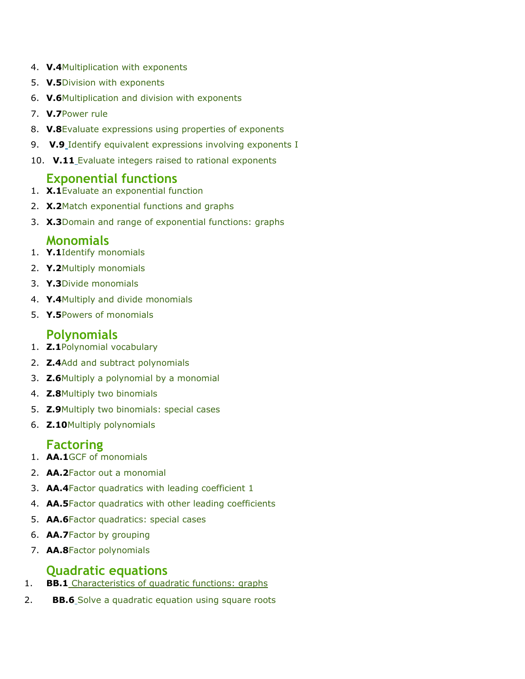- 4. **V.4**[Multiplication with exponents](https://www.ixl.com/math/algebra-1/multiplication-with-exponents)
- 5. **V.5**[Division with exponents](https://www.ixl.com/math/algebra-1/division-with-exponents)
- 6. **V.6**[Multiplication and division with exponents](https://www.ixl.com/math/algebra-1/multiplication-and-division-with-exponents)
- 7. **V.7**[Power rule](https://www.ixl.com/math/algebra-1/power-rule)
- 8. **V.8**[Evaluate expressions using properties of exponents](https://www.ixl.com/math/algebra-1/evaluate-expressions-using-properties-of-exponents)
- 9. **V.9** [Identify equivalent expressions involving exponents I](https://www.ixl.com/math/algebra-1/identify-equivalent-expressions-involving-exponents)
- 10. **V.11** [Evaluate integers raised to rational exponents](https://www.ixl.com/math/algebra-1/evaluate-integers-raised-to-rational-exponents)

## **Exponential functions**

- 1. **X.1**[Evaluate an exponential function](https://www.ixl.com/math/algebra-1/evaluate-an-exponential-function)
- 2. **X.2**[Match exponential functions and graphs](https://www.ixl.com/math/algebra-1/match-exponential-functions-and-graphs)
- 3. **X.3**[Domain and range of exponential functions: graphs](https://www.ixl.com/math/algebra-1/domain-and-range-of-exponential-functions-graphs)

### **Monomials**

- 1. **Y.1**[Identify monomials](https://www.ixl.com/math/algebra-1/identify-monomials)
- 2. **Y.2**[Multiply monomials](https://www.ixl.com/math/algebra-1/multiply-monomials)
- 3. **Y.3**[Divide monomials](https://www.ixl.com/math/algebra-1/divide-monomials)
- 4. **Y.4**[Multiply and divide monomials](https://www.ixl.com/math/algebra-1/multiply-and-divide-monomials)
- 5. **Y.5**[Powers of monomials](https://www.ixl.com/math/algebra-1/powers-of-monomials)

## **Polynomials**

- 1. **Z.1**[Polynomial vocabulary](https://www.ixl.com/math/algebra-1/polynomial-vocabulary)
- 2. **Z.4**[Add and subtract polynomials](https://www.ixl.com/math/algebra-1/add-and-subtract-polynomials)
- 3. **Z.6**[Multiply a polynomial by a monomial](https://www.ixl.com/math/algebra-1/multiply-a-polynomial-by-a-monomial)
- 4. **Z.8**[Multiply two binomials](https://www.ixl.com/math/algebra-1/multiply-two-binomials)
- 5. **Z.9**[Multiply two binomials: special cases](https://www.ixl.com/math/algebra-1/multiply-two-binomials-special-cases)
- 6. **Z.10**[Multiply polynomials](https://www.ixl.com/math/algebra-1/multiply-polynomials)

## **Factoring**

- 1. **AA.1**[GCF of monomials](https://www.ixl.com/math/algebra-1/gcf-of-monomials)
- 2. **AA.2**[Factor out a monomial](https://www.ixl.com/math/algebra-1/factor-out-a-monomial)
- 3. **AA.4**[Factor quadratics with leading coefficient 1](https://www.ixl.com/math/algebra-1/factor-quadratics-with-leading-coefficient-1)
- 4. **AA.5**[Factor quadratics with other leading coefficients](https://www.ixl.com/math/algebra-1/factor-quadratics-with-other-leading-coefficients)
- 5. **AA.6**[Factor quadratics: special cases](https://www.ixl.com/math/algebra-1/factor-quadratics-special-cases)
- 6. **AA.7**[Factor by grouping](https://www.ixl.com/math/algebra-1/factor-by-grouping)
- 7. **AA.8**[Factor polynomials](https://www.ixl.com/math/algebra-1/factor-polynomials)

# **Quadratic equations**

- 1. **BB.1** [Characteristics of quadratic functions: graphs](https://www.ixl.com/math/algebra-1/characteristics-of-quadratic-functions-graphs)
- 2. **BB.6** [Solve a quadratic equation using square roots](https://www.ixl.com/math/algebra-1/solve-a-quadratic-equation-using-square-roots)